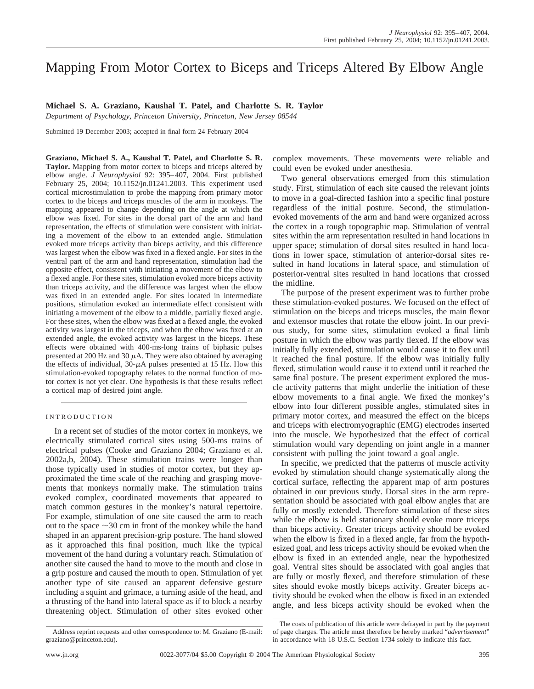# Mapping From Motor Cortex to Biceps and Triceps Altered By Elbow Angle

# **Michael S. A. Graziano, Kaushal T. Patel, and Charlotte S. R. Taylor**

*Department of Psychology, Princeton University, Princeton, New Jersey 08544*

Submitted 19 December 2003; accepted in final form 24 February 2004

**Graziano, Michael S. A., Kaushal T. Patel, and Charlotte S. R. Taylor.** Mapping from motor cortex to biceps and triceps altered by elbow angle. *J Neurophysiol* 92: 395–407, 2004. First published February 25, 2004; 10.1152/jn.01241.2003. This experiment used cortical microstimulation to probe the mapping from primary motor cortex to the biceps and triceps muscles of the arm in monkeys. The mapping appeared to change depending on the angle at which the elbow was fixed. For sites in the dorsal part of the arm and hand representation, the effects of stimulation were consistent with initiating a movement of the elbow to an extended angle. Stimulation evoked more triceps activity than biceps activity, and this difference was largest when the elbow was fixed in a flexed angle. For sites in the ventral part of the arm and hand representation, stimulation had the opposite effect, consistent with initiating a movement of the elbow to a flexed angle. For these sites, stimulation evoked more biceps activity than triceps activity, and the difference was largest when the elbow was fixed in an extended angle. For sites located in intermediate positions, stimulation evoked an intermediate effect consistent with initiating a movement of the elbow to a middle, partially flexed angle. For these sites, when the elbow was fixed at a flexed angle, the evoked activity was largest in the triceps, and when the elbow was fixed at an extended angle, the evoked activity was largest in the biceps. These effects were obtained with 400-ms-long trains of biphasic pulses presented at 200 Hz and 30  $\mu$ A. They were also obtained by averaging the effects of individual,  $30-\mu A$  pulses presented at 15 Hz. How this stimulation-evoked topography relates to the normal function of motor cortex is not yet clear. One hypothesis is that these results reflect a cortical map of desired joint angle.

# INTRODUCTION

In a recent set of studies of the motor cortex in monkeys, we electrically stimulated cortical sites using 500-ms trains of electrical pulses (Cooke and Graziano 2004; Graziano et al. 2002a,b, 2004). These stimulation trains were longer than those typically used in studies of motor cortex, but they approximated the time scale of the reaching and grasping movements that monkeys normally make. The stimulation trains evoked complex, coordinated movements that appeared to match common gestures in the monkey's natural repertoire. For example, stimulation of one site caused the arm to reach out to the space  $\sim$  30 cm in front of the monkey while the hand shaped in an apparent precision-grip posture. The hand slowed as it approached this final position, much like the typical movement of the hand during a voluntary reach. Stimulation of another site caused the hand to move to the mouth and close in a grip posture and caused the mouth to open. Stimulation of yet another type of site caused an apparent defensive gesture including a squint and grimace, a turning aside of the head, and a thrusting of the hand into lateral space as if to block a nearby threatening object. Stimulation of other sites evoked other complex movements. These movements were reliable and could even be evoked under anesthesia.

Two general observations emerged from this stimulation study. First, stimulation of each site caused the relevant joints to move in a goal-directed fashion into a specific final posture regardless of the initial posture. Second, the stimulationevoked movements of the arm and hand were organized across the cortex in a rough topographic map. Stimulation of ventral sites within the arm representation resulted in hand locations in upper space; stimulation of dorsal sites resulted in hand locations in lower space, stimulation of anterior-dorsal sites resulted in hand locations in lateral space, and stimulation of posterior-ventral sites resulted in hand locations that crossed the midline.

The purpose of the present experiment was to further probe these stimulation-evoked postures. We focused on the effect of stimulation on the biceps and triceps muscles, the main flexor and extensor muscles that rotate the elbow joint. In our previous study, for some sites, stimulation evoked a final limb posture in which the elbow was partly flexed. If the elbow was initially fully extended, stimulation would cause it to flex until it reached the final posture. If the elbow was initially fully flexed, stimulation would cause it to extend until it reached the same final posture. The present experiment explored the muscle activity patterns that might underlie the initiation of these elbow movements to a final angle. We fixed the monkey's elbow into four different possible angles, stimulated sites in primary motor cortex, and measured the effect on the biceps and triceps with electromyographic (EMG) electrodes inserted into the muscle. We hypothesized that the effect of cortical stimulation would vary depending on joint angle in a manner consistent with pulling the joint toward a goal angle.

In specific, we predicted that the patterns of muscle activity evoked by stimulation should change systematically along the cortical surface, reflecting the apparent map of arm postures obtained in our previous study. Dorsal sites in the arm representation should be associated with goal elbow angles that are fully or mostly extended. Therefore stimulation of these sites while the elbow is held stationary should evoke more triceps than biceps activity. Greater triceps activity should be evoked when the elbow is fixed in a flexed angle, far from the hypothesized goal, and less triceps activity should be evoked when the elbow is fixed in an extended angle, near the hypothesized goal. Ventral sites should be associated with goal angles that are fully or mostly flexed, and therefore stimulation of these sites should evoke mostly biceps activity. Greater biceps activity should be evoked when the elbow is fixed in an extended angle, and less biceps activity should be evoked when the

The costs of publication of this article were defrayed in part by the payment of page charges. The article must therefore be hereby marked "*advertisement*" in accordance with 18 U.S.C. Section 1734 solely to indicate this fact.

Address reprint requests and other correspondence to: M. Graziano (E-mail: graziano@princeton.edu).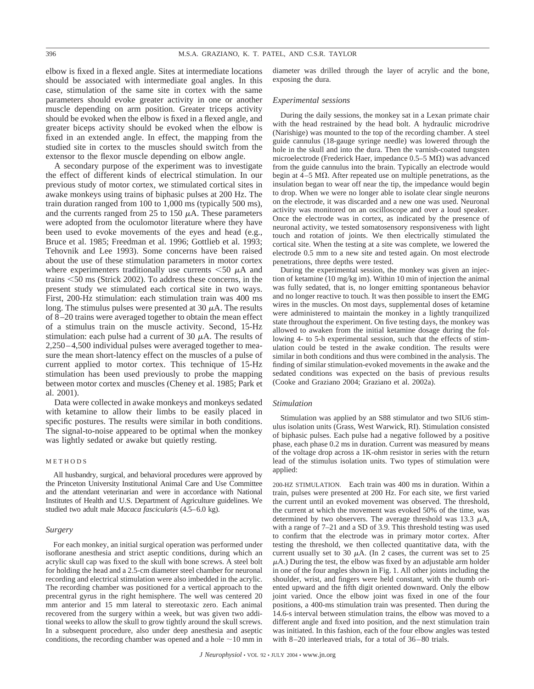elbow is fixed in a flexed angle. Sites at intermediate locations should be associated with intermediate goal angles. In this case, stimulation of the same site in cortex with the same parameters should evoke greater activity in one or another muscle depending on arm position. Greater triceps activity should be evoked when the elbow is fixed in a flexed angle, and greater biceps activity should be evoked when the elbow is fixed in an extended angle. In effect, the mapping from the studied site in cortex to the muscles should switch from the extensor to the flexor muscle depending on elbow angle.

A secondary purpose of the experiment was to investigate the effect of different kinds of electrical stimulation. In our previous study of motor cortex, we stimulated cortical sites in awake monkeys using trains of biphasic pulses at 200 Hz. The train duration ranged from 100 to 1,000 ms (typically 500 ms), and the currents ranged from 25 to 150  $\mu$ A. These parameters were adopted from the oculomotor literature where they have been used to evoke movements of the eyes and head (e.g., Bruce et al. 1985; Freedman et al. 1996; Gottlieb et al. 1993; Tehovnik and Lee 1993). Some concerns have been raised about the use of these stimulation parameters in motor cortex where experimenters traditionally use currents  $\leq 50 \mu A$  and trains -50 ms (Strick 2002). To address these concerns, in the present study we stimulated each cortical site in two ways. First, 200-Hz stimulation: each stimulation train was 400 ms long. The stimulus pulses were presented at 30  $\mu$ A. The results of 8–20 trains were averaged together to obtain the mean effect of a stimulus train on the muscle activity. Second, 15-Hz stimulation: each pulse had a current of 30  $\mu$ A. The results of 2,250–4,500 individual pulses were averaged together to measure the mean short-latency effect on the muscles of a pulse of current applied to motor cortex. This technique of 15-Hz stimulation has been used previously to probe the mapping between motor cortex and muscles (Cheney et al. 1985; Park et al. 2001).

Data were collected in awake monkeys and monkeys sedated with ketamine to allow their limbs to be easily placed in specific postures. The results were similar in both conditions. The signal-to-noise appeared to be optimal when the monkey was lightly sedated or awake but quietly resting.

# METHODS

All husbandry, surgical, and behavioral procedures were approved by the Princeton University Institutional Animal Care and Use Committee and the attendant veterinarian and were in accordance with National Institutes of Health and U.S. Department of Agriculture guidelines. We studied two adult male *Macaca fascicularis* (4.5–6.0 kg).

## *Surgery*

For each monkey, an initial surgical operation was performed under isoflorane anesthesia and strict aseptic conditions, during which an acrylic skull cap was fixed to the skull with bone screws. A steel bolt for holding the head and a 2.5-cm diameter steel chamber for neuronal recording and electrical stimulation were also imbedded in the acrylic. The recording chamber was positioned for a vertical approach to the precentral gyrus in the right hemisphere. The well was centered 20 mm anterior and 15 mm lateral to stereotaxic zero. Each animal recovered from the surgery within a week, but was given two additional weeks to allow the skull to grow tightly around the skull screws. In a subsequent procedure, also under deep anesthesia and aseptic conditions, the recording chamber was opened and a hole  $\sim$  10 mm in diameter was drilled through the layer of acrylic and the bone, exposing the dura.

## *Experimental sessions*

During the daily sessions, the monkey sat in a Lexan primate chair with the head restrained by the head bolt. A hydraulic microdrive (Narishige) was mounted to the top of the recording chamber. A steel guide cannulus (18-gauge syringe needle) was lowered through the hole in the skull and into the dura. Then the varnish-coated tungsten microelectrode (Frederick Haer, impedance  $0.5-5$  M $\Omega$ ) was advanced from the guide cannulus into the brain. Typically an electrode would begin at  $4-5$  M $\Omega$ . After repeated use on multiple penetrations, as the insulation began to wear off near the tip, the impedance would begin to drop. When we were no longer able to isolate clear single neurons on the electrode, it was discarded and a new one was used. Neuronal activity was monitored on an oscilloscope and over a loud speaker. Once the electrode was in cortex, as indicated by the presence of neuronal activity, we tested somatosensory responsiveness with light touch and rotation of joints. We then electrically stimulated the cortical site. When the testing at a site was complete, we lowered the electrode 0.5 mm to a new site and tested again. On most electrode penetrations, three depths were tested.

During the experimental session, the monkey was given an injection of ketamine (10 mg/kg im). Within 10 min of injection the animal was fully sedated, that is, no longer emitting spontaneous behavior and no longer reactive to touch. It was then possible to insert the EMG wires in the muscles. On most days, supplemental doses of ketamine were administered to maintain the monkey in a lightly tranquilized state throughout the experiment. On five testing days, the monkey was allowed to awaken from the initial ketamine dosage during the following 4- to 5-h experimental session, such that the effects of stimulation could be tested in the awake condition. The results were similar in both conditions and thus were combined in the analysis. The finding of similar stimulation-evoked movements in the awake and the sedated conditions was expected on the basis of previous results (Cooke and Graziano 2004; Graziano et al. 2002a).

## *Stimulation*

Stimulation was applied by an S88 stimulator and two SIU6 stimulus isolation units (Grass, West Warwick, RI). Stimulation consisted of biphasic pulses. Each pulse had a negative followed by a positive phase, each phase 0.2 ms in duration. Current was measured by means of the voltage drop across a 1K-ohm resistor in series with the return lead of the stimulus isolation units. Two types of stimulation were applied:

200-HZ STIMULATION. Each train was 400 ms in duration. Within a train, pulses were presented at 200 Hz. For each site, we first varied the current until an evoked movement was observed. The threshold, the current at which the movement was evoked 50% of the time, was determined by two observers. The average threshold was 13.3  $\mu$ A, with a range of 7–21 and a SD of 3.9. This threshold testing was used to confirm that the electrode was in primary motor cortex. After testing the threshold, we then collected quantitative data, with the current usually set to 30  $\mu$ A. (In 2 cases, the current was set to 25  $\mu$ A.) During the test, the elbow was fixed by an adjustable arm holder in one of the four angles shown in Fig. 1. All other joints including the shoulder, wrist, and fingers were held constant, with the thumb oriented upward and the fifth digit oriented downward. Only the elbow joint varied. Once the elbow joint was fixed in one of the four positions, a 400-ms stimulation train was presented. Then during the 14.6-s interval between stimulation trains, the elbow was moved to a different angle and fixed into position, and the next stimulation train was initiated. In this fashion, each of the four elbow angles was tested with 8–20 interleaved trials, for a total of 36–80 trials.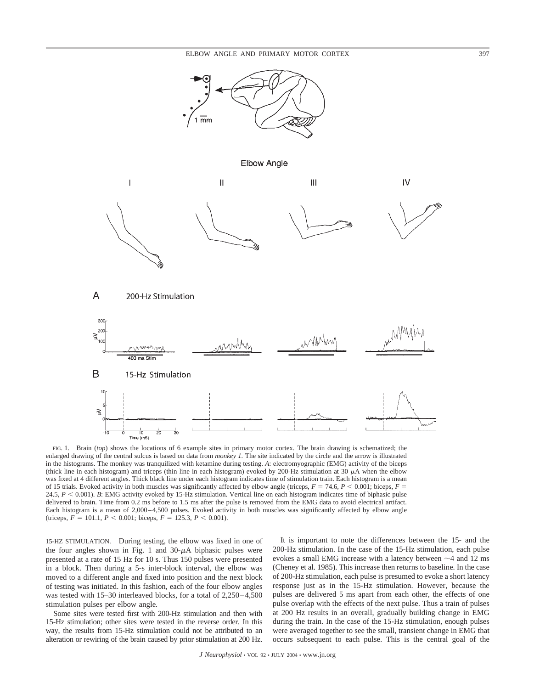

FIG. 1. Brain (*top*) shows the locations of 6 example sites in primary motor cortex. The brain drawing is schematized; the enlarged drawing of the central sulcus is based on data from *monkey 1.* The site indicated by the circle and the arrow is illustrated in the histograms. The monkey was tranquilized with ketamine during testing. *A*: electromyographic (EMG) activity of the biceps (thick line in each histogram) and triceps (thin line in each histogram) evoked by 200-Hz stimulation at 30  $\mu$ A when the elbow was fixed at 4 different angles. Thick black line under each histogram indicates time of stimulation train. Each histogram is a mean of 15 trials. Evoked activity in both muscles was significantly affected by elbow angle (triceps,  $F = 74.6$ ,  $P < 0.001$ ; biceps,  $F =$ 24.5,  $P < 0.001$ ). *B*: EMG activity evoked by 15-Hz stimulation. Vertical line on each histogram indicates time of biphasic pulse delivered to brain. Time from 0.2 ms before to 1.5 ms after the pulse is removed from the EMG data to avoid electrical artifact. Each histogram is a mean of 2,000–4,500 pulses. Evoked activity in both muscles was significantly affected by elbow angle  $(\text{triceps}, F = 101.1, P < 0.001; \text{biceps}, F = 125.3, P < 0.001).$ 

15-HZ STIMULATION. During testing, the elbow was fixed in one of the four angles shown in Fig. 1 and  $30-\mu A$  biphasic pulses were presented at a rate of 15 Hz for 10 s. Thus 150 pulses were presented in a block. Then during a 5-s inter-block interval, the elbow was moved to a different angle and fixed into position and the next block of testing was initiated. In this fashion, each of the four elbow angles was tested with 15–30 interleaved blocks, for a total of 2,250–4,500 stimulation pulses per elbow angle.

Some sites were tested first with 200-Hz stimulation and then with 15-Hz stimulation; other sites were tested in the reverse order. In this way, the results from 15-Hz stimulation could not be attributed to an alteration or rewiring of the brain caused by prior stimulation at 200 Hz.

It is important to note the differences between the 15- and the 200-Hz stimulation. In the case of the 15-Hz stimulation, each pulse evokes a small EMG increase with a latency between  $\sim$  4 and 12 ms (Cheney et al. 1985). This increase then returns to baseline. In the case of 200-Hz stimulation, each pulse is presumed to evoke a short latency response just as in the 15-Hz stimulation. However, because the pulses are delivered 5 ms apart from each other, the effects of one pulse overlap with the effects of the next pulse. Thus a train of pulses at 200 Hz results in an overall, gradually building change in EMG during the train. In the case of the 15-Hz stimulation, enough pulses were averaged together to see the small, transient change in EMG that occurs subsequent to each pulse. This is the central goal of the

*J Neurophysiol* • VOL 92 • JULY 2004 • www.jn.org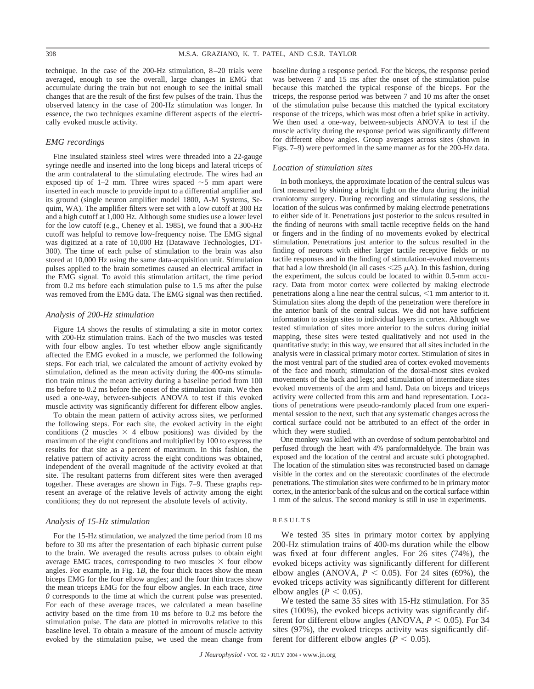technique. In the case of the 200-Hz stimulation, 8–20 trials were averaged, enough to see the overall, large changes in EMG that accumulate during the train but not enough to see the initial small changes that are the result of the first few pulses of the train. Thus the observed latency in the case of 200-Hz stimulation was longer. In essence, the two techniques examine different aspects of the electrically evoked muscle activity.

# *EMG recordings*

Fine insulated stainless steel wires were threaded into a 22-gauge syringe needle and inserted into the long biceps and lateral triceps of the arm contralateral to the stimulating electrode. The wires had an exposed tip of 1–2 mm. Three wires spaced  $\sim$ 5 mm apart were inserted in each muscle to provide input to a differential amplifier and its ground (single neuron amplifier model 1800, A-M Systems, Sequim, WA). The amplifier filters were set with a low cutoff at 300 Hz and a high cutoff at 1,000 Hz. Although some studies use a lower level for the low cutoff (e.g., Cheney et al. 1985), we found that a 300-Hz cutoff was helpful to remove low-frequency noise. The EMG signal was digitized at a rate of 10,000 Hz (Datawave Technologies, DT-300). The time of each pulse of stimulation to the brain was also stored at 10,000 Hz using the same data-acquisition unit. Stimulation pulses applied to the brain sometimes caused an electrical artifact in the EMG signal. To avoid this stimulation artifact, the time period from 0.2 ms before each stimulation pulse to 1.5 ms after the pulse was removed from the EMG data. The EMG signal was then rectified.

## *Analysis of 200-Hz stimulation*

Figure 1*A* shows the results of stimulating a site in motor cortex with 200-Hz stimulation trains. Each of the two muscles was tested with four elbow angles. To test whether elbow angle significantly affected the EMG evoked in a muscle, we performed the following steps. For each trial, we calculated the amount of activity evoked by stimulation, defined as the mean activity during the 400-ms stimulation train minus the mean activity during a baseline period from 100 ms before to 0.2 ms before the onset of the stimulation train. We then used a one-way, between-subjects ANOVA to test if this evoked muscle activity was significantly different for different elbow angles.

To obtain the mean pattern of activity across sites, we performed the following steps. For each site, the evoked activity in the eight conditions (2 muscles  $\times$  4 elbow positions) was divided by the maximum of the eight conditions and multiplied by 100 to express the results for that site as a percent of maximum. In this fashion, the relative pattern of activity across the eight conditions was obtained, independent of the overall magnitude of the activity evoked at that site. The resultant patterns from different sites were then averaged together. These averages are shown in Figs. 7–9. These graphs represent an average of the relative levels of activity among the eight conditions; they do not represent the absolute levels of activity.

# *Analysis of 15-Hz stimulation*

For the 15-Hz stimulation, we analyzed the time period from 10 ms before to 30 ms after the presentation of each biphasic current pulse to the brain. We averaged the results across pulses to obtain eight average EMG traces, corresponding to two muscles  $\times$  four elbow angles. For example, in Fig. 1*B*, the four thick traces show the mean biceps EMG for the four elbow angles; and the four thin traces show the mean triceps EMG for the four elbow angles. In each trace, *time 0* corresponds to the time at which the current pulse was presented. For each of these average traces, we calculated a mean baseline activity based on the time from 10 ms before to 0.2 ms before the stimulation pulse. The data are plotted in microvolts relative to this baseline level. To obtain a measure of the amount of muscle activity evoked by the stimulation pulse, we used the mean change from baseline during a response period. For the biceps, the response period was between 7 and 15 ms after the onset of the stimulation pulse because this matched the typical response of the biceps. For the triceps, the response period was between 7 and 10 ms after the onset of the stimulation pulse because this matched the typical excitatory response of the triceps, which was most often a brief spike in activity. We then used a one-way, between-subjects ANOVA to test if the muscle activity during the response period was significantly different for different elbow angles. Group averages across sites (shown in Figs. 7–9) were performed in the same manner as for the 200-Hz data.

#### *Location of stimulation sites*

In both monkeys, the approximate location of the central sulcus was first measured by shining a bright light on the dura during the initial craniotomy surgery. During recording and stimulating sessions, the location of the sulcus was confirmed by making electrode penetrations to either side of it. Penetrations just posterior to the sulcus resulted in the finding of neurons with small tactile receptive fields on the hand or fingers and in the finding of no movements evoked by electrical stimulation. Penetrations just anterior to the sulcus resulted in the finding of neurons with either larger tactile receptive fields or no tactile responses and in the finding of stimulation-evoked movements that had a low threshold (in all cases  $\leq$  25  $\mu$ A). In this fashion, during the experiment, the sulcus could be located to within 0.5-mm accuracy. Data from motor cortex were collected by making electrode penetrations along a line near the central sulcus,  $\leq 1$  mm anterior to it. Stimulation sites along the depth of the penetration were therefore in the anterior bank of the central sulcus. We did not have sufficient information to assign sites to individual layers in cortex. Although we tested stimulation of sites more anterior to the sulcus during initial mapping, these sites were tested qualitatively and not used in the quantitative study; in this way, we ensured that all sites included in the analysis were in classical primary motor cortex. Stimulation of sites in the most ventral part of the studied area of cortex evoked movements of the face and mouth; stimulation of the dorsal-most sites evoked movements of the back and legs; and stimulation of intermediate sites evoked movements of the arm and hand. Data on biceps and triceps activity were collected from this arm and hand representation. Locations of penetrations were pseudo-randomly placed from one experimental session to the next, such that any systematic changes across the cortical surface could not be attributed to an effect of the order in which they were studied.

One monkey was killed with an overdose of sodium pentobarbitol and perfused through the heart with 4% paraformaldehyde. The brain was exposed and the location of the central and arcuate sulci photographed. The location of the stimulation sites was reconstructed based on damage visible in the cortex and on the stereotaxic coordinates of the electrode penetrations. The stimulation sites were confirmed to be in primary motor cortex, in the anterior bank of the sulcus and on the cortical surface within 1 mm of the sulcus. The second monkey is still in use in experiments.

## RESULTS

We tested 35 sites in primary motor cortex by applying 200-Hz stimulation trains of 400-ms duration while the elbow was fixed at four different angles. For 26 sites (74%), the evoked biceps activity was significantly different for different elbow angles (ANOVA,  $P < 0.05$ ). For 24 sites (69%), the evoked triceps activity was significantly different for different elbow angles ( $P < 0.05$ ).

We tested the same 35 sites with 15-Hz stimulation. For 35 sites (100%), the evoked biceps activity was significantly different for different elbow angles (ANOVA,  $P < 0.05$ ). For 34 sites (97%), the evoked triceps activity was significantly different for different elbow angles ( $P < 0.05$ ).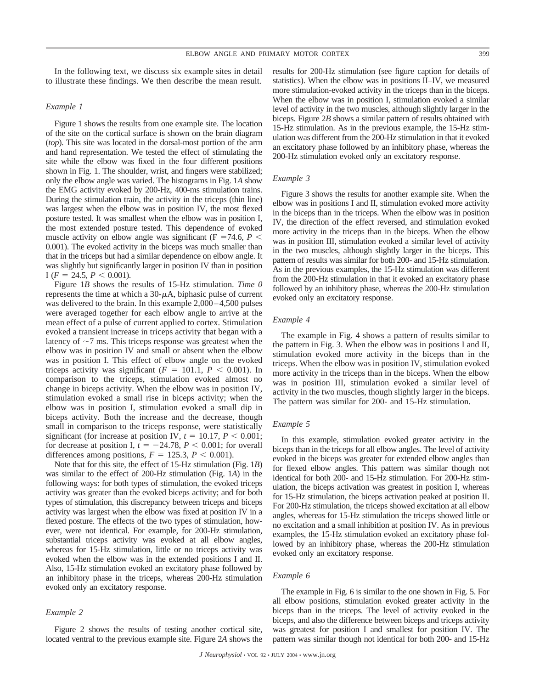In the following text, we discuss six example sites in detail to illustrate these findings. We then describe the mean result.

# *Example 1*

Figure 1 shows the results from one example site. The location of the site on the cortical surface is shown on the brain diagram (*top*). This site was located in the dorsal-most portion of the arm and hand representation. We tested the effect of stimulating the site while the elbow was fixed in the four different positions shown in Fig. 1. The shoulder, wrist, and fingers were stabilized; only the elbow angle was varied. The histograms in Fig. 1*A* show the EMG activity evoked by 200-Hz, 400-ms stimulation trains. During the stimulation train, the activity in the triceps (thin line) was largest when the elbow was in position IV, the most flexed posture tested. It was smallest when the elbow was in position I, the most extended posture tested. This dependence of evoked muscle activity on elbow angle was significant ( $F = 74.6$ ,  $P <$ 0.001). The evoked activity in the biceps was much smaller than that in the triceps but had a similar dependence on elbow angle. It was slightly but significantly larger in position IV than in position I ( $F = 24.5, P \leq 0.001$ ).

Figure 1*B* shows the results of 15-Hz stimulation. *Time 0* represents the time at which a  $30-\mu A$ , biphasic pulse of current was delivered to the brain. In this example 2,000–4,500 pulses were averaged together for each elbow angle to arrive at the mean effect of a pulse of current applied to cortex. Stimulation evoked a transient increase in triceps activity that began with a latency of  $\sim$ 7 ms. This triceps response was greatest when the elbow was in position IV and small or absent when the elbow was in position I. This effect of elbow angle on the evoked triceps activity was significant  $(F = 101.1, P < 0.001)$ . In comparison to the triceps, stimulation evoked almost no change in biceps activity. When the elbow was in position IV, stimulation evoked a small rise in biceps activity; when the elbow was in position I, stimulation evoked a small dip in biceps activity. Both the increase and the decrease, though small in comparison to the triceps response, were statistically significant (for increase at position IV,  $t = 10.17$ ,  $P < 0.001$ ; for decrease at position I,  $t = -24.78$ ,  $P < 0.001$ ; for overall differences among positions,  $F = 125.3$ ,  $P < 0.001$ ).

Note that for this site, the effect of 15-Hz stimulation (Fig. 1*B*) was similar to the effect of 200-Hz stimulation (Fig. 1*A*) in the following ways: for both types of stimulation, the evoked triceps activity was greater than the evoked biceps activity; and for both types of stimulation, this discrepancy between triceps and biceps activity was largest when the elbow was fixed at position IV in a flexed posture. The effects of the two types of stimulation, however, were not identical. For example, for 200-Hz stimulation, substantial triceps activity was evoked at all elbow angles, whereas for 15-Hz stimulation, little or no triceps activity was evoked when the elbow was in the extended positions I and II. Also, 15-Hz stimulation evoked an excitatory phase followed by an inhibitory phase in the triceps, whereas 200-Hz stimulation evoked only an excitatory response.

# *Example 2*

Figure 2 shows the results of testing another cortical site, located ventral to the previous example site. Figure 2*A* shows the results for 200-Hz stimulation (see figure caption for details of statistics). When the elbow was in positions II–IV, we measured more stimulation-evoked activity in the triceps than in the biceps. When the elbow was in position I, stimulation evoked a similar level of activity in the two muscles, although slightly larger in the biceps. Figure 2*B* shows a similar pattern of results obtained with 15-Hz stimulation. As in the previous example, the 15-Hz stimulation was different from the 200-Hz stimulation in that it evoked an excitatory phase followed by an inhibitory phase, whereas the 200-Hz stimulation evoked only an excitatory response.

# *Example 3*

Figure 3 shows the results for another example site. When the elbow was in positions I and II, stimulation evoked more activity in the biceps than in the triceps. When the elbow was in position IV, the direction of the effect reversed, and stimulation evoked more activity in the triceps than in the biceps. When the elbow was in position III, stimulation evoked a similar level of activity in the two muscles, although slightly larger in the biceps. This pattern of results was similar for both 200- and 15-Hz stimulation. As in the previous examples, the 15-Hz stimulation was different from the 200-Hz stimulation in that it evoked an excitatory phase followed by an inhibitory phase, whereas the 200-Hz stimulation evoked only an excitatory response.

# *Example 4*

The example in Fig. 4 shows a pattern of results similar to the pattern in Fig. 3. When the elbow was in positions I and II, stimulation evoked more activity in the biceps than in the triceps. When the elbow was in position IV, stimulation evoked more activity in the triceps than in the biceps. When the elbow was in position III, stimulation evoked a similar level of activity in the two muscles, though slightly larger in the biceps. The pattern was similar for 200- and 15-Hz stimulation.

# *Example 5*

In this example, stimulation evoked greater activity in the biceps than in the triceps for all elbow angles. The level of activity evoked in the biceps was greater for extended elbow angles than for flexed elbow angles. This pattern was similar though not identical for both 200- and 15-Hz stimulation. For 200-Hz stimulation, the biceps activation was greatest in position I, whereas for 15-Hz stimulation, the biceps activation peaked at position II. For 200-Hz stimulation, the triceps showed excitation at all elbow angles, whereas for 15-Hz stimulation the triceps showed little or no excitation and a small inhibition at position IV. As in previous examples, the 15-Hz stimulation evoked an excitatory phase followed by an inhibitory phase, whereas the 200-Hz stimulation evoked only an excitatory response.

## *Example 6*

The example in Fig. 6 is similar to the one shown in Fig. 5. For all elbow positions, stimulation evoked greater activity in the biceps than in the triceps. The level of activity evoked in the biceps, and also the difference between biceps and triceps activity was greatest for position I and smallest for position IV. The pattern was similar though not identical for both 200- and 15-Hz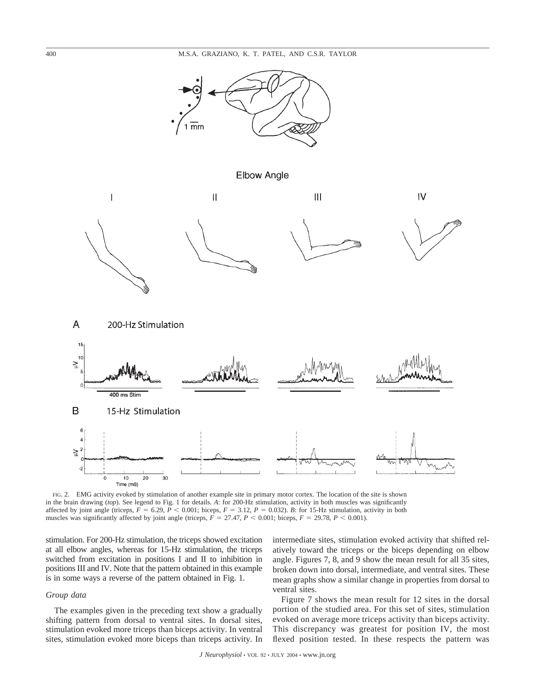

Elbow Angle



FIG. 2. EMG activity evoked by stimulation of another example site in primary motor cortex. The location of the site is shown in the brain drawing (*top*). See legend to Fig. 1 for details. *A*: for 200-Hz stimulation, activity in both muscles was significantly affected by joint angle (triceps,  $F = 6.29$ ,  $P < 0.001$ ; biceps,  $F = 3.12$ ,  $P = 0.032$ ). *B*: for 15-Hz stimulation, activity in both muscles was significantly affected by joint angle (triceps,  $F = 27.47$ ,  $P < 0.001$ ; biceps,  $F = 29.78$ ,  $P < 0.001$ ).

stimulation. For 200-Hz stimulation, the triceps showed excitation at all elbow angles, whereas for 15-Hz stimulation, the triceps switched from excitation in positions I and II to inhibition in positions III and IV. Note that the pattern obtained in this example is in some ways a reverse of the pattern obtained in Fig. 1.

# *Group data*

The examples given in the preceding text show a gradually shifting pattern from dorsal to ventral sites. In dorsal sites, stimulation evoked more triceps than biceps activity. In ventral sites, stimulation evoked more biceps than triceps activity. In intermediate sites, stimulation evoked activity that shifted relatively toward the triceps or the biceps depending on elbow angle. Figures 7, 8, and 9 show the mean result for all 35 sites, broken down into dorsal, intermediate, and ventral sites. These mean graphs show a similar change in properties from dorsal to ventral sites.

Figure 7 shows the mean result for 12 sites in the dorsal portion of the studied area. For this set of sites, stimulation evoked on average more triceps activity than biceps activity. This discrepancy was greatest for position IV, the most flexed position tested. In these respects the pattern was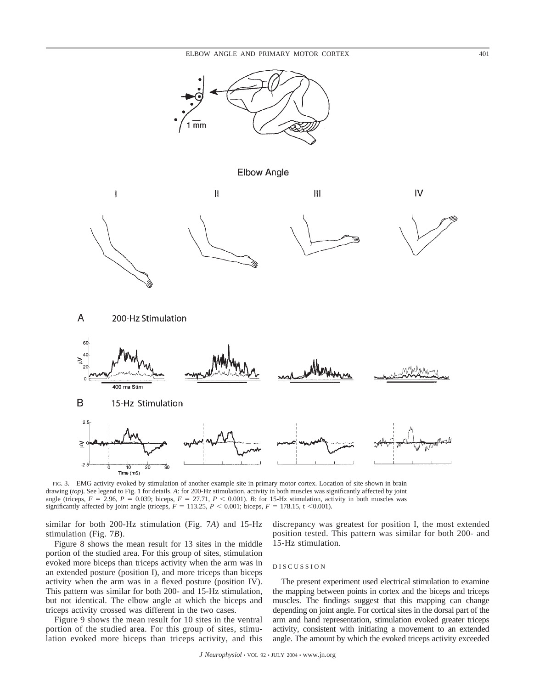

**Elbow Angle** 



 $\mathsf{A}$ 200-Hz Stimulation



FIG. 3. EMG activity evoked by stimulation of another example site in primary motor cortex. Location of site shown in brain drawing (*top*). See legend to Fig. 1 for details. *A*: for 200-Hz stimulation, activity in both muscles was significantly affected by joint angle (triceps,  $F = 2.96$ ,  $P = 0.039$ ; biceps,  $F = 27.71$ ,  $P < 0.001$ ). *B*: for 15-Hz stimulation, activity in both muscles was significantly affected by joint angle (triceps,  $F = 113.25$ ,  $P < 0.001$ ; biceps,  $F = 178.15$ , t < 0.001).

similar for both 200-Hz stimulation (Fig. 7*A*) and 15-Hz stimulation (Fig. 7*B*).

Figure 8 shows the mean result for 13 sites in the middle portion of the studied area. For this group of sites, stimulation evoked more biceps than triceps activity when the arm was in an extended posture (position I), and more triceps than biceps activity when the arm was in a flexed posture (position IV). This pattern was similar for both 200- and 15-Hz stimulation, but not identical. The elbow angle at which the biceps and triceps activity crossed was different in the two cases.

Figure 9 shows the mean result for 10 sites in the ventral portion of the studied area. For this group of sites, stimulation evoked more biceps than triceps activity, and this discrepancy was greatest for position I, the most extended position tested. This pattern was similar for both 200- and 15-Hz stimulation.

#### DISCUSSION

The present experiment used electrical stimulation to examine the mapping between points in cortex and the biceps and triceps muscles. The findings suggest that this mapping can change depending on joint angle. For cortical sites in the dorsal part of the arm and hand representation, stimulation evoked greater triceps activity, consistent with initiating a movement to an extended angle. The amount by which the evoked triceps activity exceeded

*J Neurophysiol* • VOL 92 • JULY 2004 • www.jn.org

 $\overline{V}$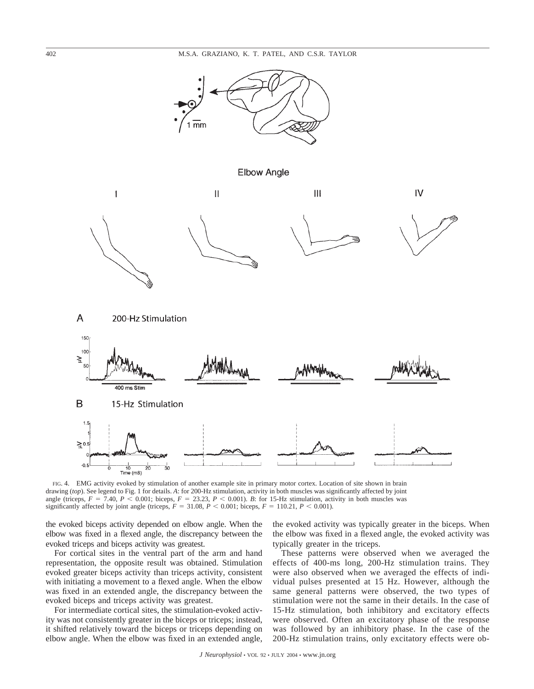

**Elbow Angle** 



FIG. 4. EMG activity evoked by stimulation of another example site in primary motor cortex. Location of site shown in brain drawing (*top*). See legend to Fig. 1 for details. *A*: for 200-Hz stimulation, activity in both muscles was significantly affected by joint angle (triceps,  $F = 7.40$ ,  $P < 0.001$ ; biceps,  $F = 23.23$ ,  $P < 0.001$ ). *B*: for 15-Hz stimulation, activity in both muscles was significantly affected by joint angle (triceps,  $F = 31.08$ ,  $P < 0.001$ ; biceps,  $F = 110.21$ ,  $P < 0.001$ ).

the evoked biceps activity depended on elbow angle. When the elbow was fixed in a flexed angle, the discrepancy between the evoked triceps and biceps activity was greatest.

For cortical sites in the ventral part of the arm and hand representation, the opposite result was obtained. Stimulation evoked greater biceps activity than triceps activity, consistent with initiating a movement to a flexed angle. When the elbow was fixed in an extended angle, the discrepancy between the evoked biceps and triceps activity was greatest.

For intermediate cortical sites, the stimulation-evoked activity was not consistently greater in the biceps or triceps; instead, it shifted relatively toward the biceps or triceps depending on elbow angle. When the elbow was fixed in an extended angle, the evoked activity was typically greater in the biceps. When the elbow was fixed in a flexed angle, the evoked activity was typically greater in the triceps.

These patterns were observed when we averaged the effects of 400-ms long, 200-Hz stimulation trains. They were also observed when we averaged the effects of individual pulses presented at 15 Hz. However, although the same general patterns were observed, the two types of stimulation were not the same in their details. In the case of 15-Hz stimulation, both inhibitory and excitatory effects were observed. Often an excitatory phase of the response was followed by an inhibitory phase. In the case of the 200-Hz stimulation trains, only excitatory effects were ob-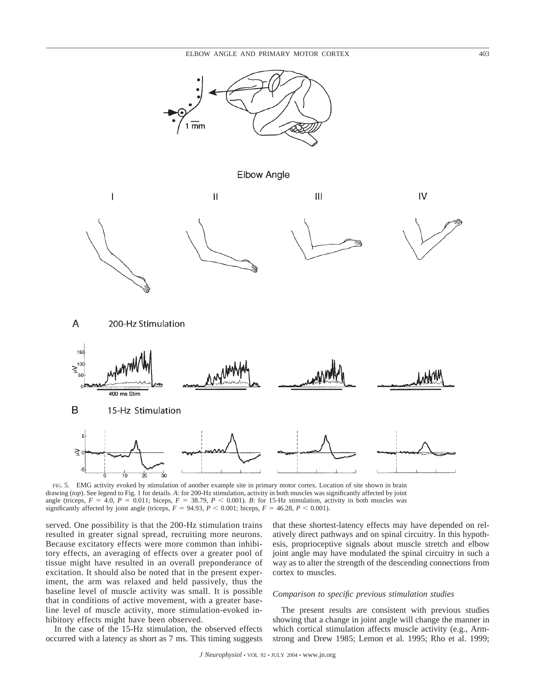

**Elbow Angle** 



FIG. 5. EMG activity evoked by stimulation of another example site in primary motor cortex. Location of site shown in brain drawing (*top*). See legend to Fig. 1 for details. *A*: for 200-Hz stimulation, activity in both muscles was significantly affected by joint angle (triceps,  $F = 4.0$ ,  $P = 0.011$ ; biceps,  $F = 38.79$ ,  $P < 0.001$ ). *B*: for 15-Hz stimulation, activity in both muscles was significantly affected by joint angle (triceps,  $F = 94.93$ ,  $P < 0.001$ ; biceps,  $F = 46.28$ ,  $P < 0.001$ ).

served. One possibility is that the 200-Hz stimulation trains resulted in greater signal spread, recruiting more neurons. Because excitatory effects were more common than inhibitory effects, an averaging of effects over a greater pool of tissue might have resulted in an overall preponderance of excitation. It should also be noted that in the present experiment, the arm was relaxed and held passively, thus the baseline level of muscle activity was small. It is possible that in conditions of active movement, with a greater baseline level of muscle activity, more stimulation-evoked inhibitory effects might have been observed.

In the case of the 15-Hz stimulation, the observed effects occurred with a latency as short as 7 ms. This timing suggests that these shortest-latency effects may have depended on relatively direct pathways and on spinal circuitry. In this hypothesis, proprioceptive signals about muscle stretch and elbow joint angle may have modulated the spinal circuitry in such a way as to alter the strength of the descending connections from cortex to muscles.

# *Comparison to specific previous stimulation studies*

The present results are consistent with previous studies showing that a change in joint angle will change the manner in which cortical stimulation affects muscle activity (e.g., Armstrong and Drew 1985; Lemon et al. 1995; Rho et al. 1999;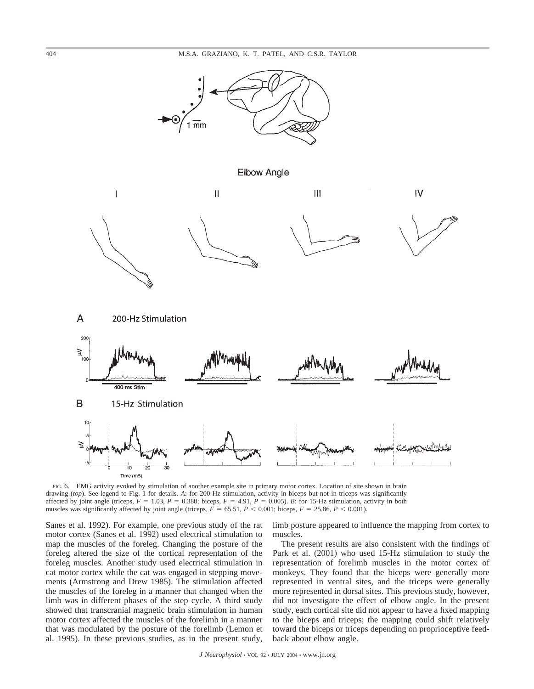

**Elbow Angle** 



FIG. 6. EMG activity evoked by stimulation of another example site in primary motor cortex. Location of site shown in brain drawing (*top*). See legend to Fig. 1 for details. A: for 200-Hz stimulation, activity in biceps but not in triceps was significantly affected by joint angle (triceps,  $F = 1.03$ ,  $P = 0.388$ ; biceps,  $F = 4.91$ ,  $P = 0.005$ ). *B*: for 15-Hz stimulation, activity in both muscles was significantly affected by joint angle (triceps,  $F = 65.51$ ,  $P < 0.001$ ; biceps,  $F = 25.86$ ,  $P < 0.001$ ).

Sanes et al. 1992). For example, one previous study of the rat motor cortex (Sanes et al. 1992) used electrical stimulation to map the muscles of the foreleg. Changing the posture of the foreleg altered the size of the cortical representation of the foreleg muscles. Another study used electrical stimulation in cat motor cortex while the cat was engaged in stepping movements (Armstrong and Drew 1985). The stimulation affected the muscles of the foreleg in a manner that changed when the limb was in different phases of the step cycle. A third study showed that transcranial magnetic brain stimulation in human motor cortex affected the muscles of the forelimb in a manner that was modulated by the posture of the forelimb (Lemon et al. 1995). In these previous studies, as in the present study, limb posture appeared to influence the mapping from cortex to muscles.

The present results are also consistent with the findings of Park et al. (2001) who used 15-Hz stimulation to study the representation of forelimb muscles in the motor cortex of monkeys. They found that the biceps were generally more represented in ventral sites, and the triceps were generally more represented in dorsal sites. This previous study, however, did not investigate the effect of elbow angle. In the present study, each cortical site did not appear to have a fixed mapping to the biceps and triceps; the mapping could shift relatively toward the biceps or triceps depending on proprioceptive feedback about elbow angle.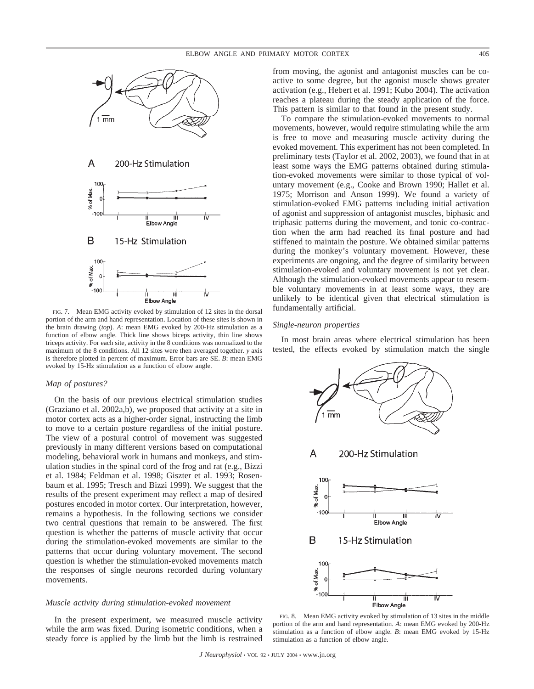

FIG. 7. Mean EMG activity evoked by stimulation of 12 sites in the dorsal portion of the arm and hand representation. Location of these sites is shown in the brain drawing (*top*). *A*: mean EMG evoked by 200-Hz stimulation as a function of elbow angle. Thick line shows biceps activity, thin line shows triceps activity. For each site, activity in the 8 conditions was normalized to the maximum of the 8 conditions. All 12 sites were then averaged together. *y* axis is therefore plotted in percent of maximum. Error bars are SE. *B*: mean EMG evoked by 15-Hz stimulation as a function of elbow angle.

## *Map of postures?*

On the basis of our previous electrical stimulation studies (Graziano et al. 2002a,b), we proposed that activity at a site in motor cortex acts as a higher-order signal, instructing the limb to move to a certain posture regardless of the initial posture. The view of a postural control of movement was suggested previously in many different versions based on computational modeling, behavioral work in humans and monkeys, and stimulation studies in the spinal cord of the frog and rat (e.g., Bizzi et al. 1984; Feldman et al. 1998; Giszter et al. 1993; Rosenbaum et al. 1995; Tresch and Bizzi 1999). We suggest that the results of the present experiment may reflect a map of desired postures encoded in motor cortex. Our interpretation, however, remains a hypothesis. In the following sections we consider two central questions that remain to be answered. The first question is whether the patterns of muscle activity that occur during the stimulation-evoked movements are similar to the patterns that occur during voluntary movement. The second question is whether the stimulation-evoked movements match the responses of single neurons recorded during voluntary movements.

# *Muscle activity during stimulation-evoked movement*

In the present experiment, we measured muscle activity while the arm was fixed. During isometric conditions, when a steady force is applied by the limb but the limb is restrained from moving, the agonist and antagonist muscles can be coactive to some degree, but the agonist muscle shows greater activation (e.g., Hebert et al. 1991; Kubo 2004). The activation reaches a plateau during the steady application of the force. This pattern is similar to that found in the present study.

To compare the stimulation-evoked movements to normal movements, however, would require stimulating while the arm is free to move and measuring muscle activity during the evoked movement. This experiment has not been completed. In preliminary tests (Taylor et al. 2002, 2003), we found that in at least some ways the EMG patterns obtained during stimulation-evoked movements were similar to those typical of voluntary movement (e.g., Cooke and Brown 1990; Hallet et al. 1975; Morrison and Anson 1999). We found a variety of stimulation-evoked EMG patterns including initial activation of agonist and suppression of antagonist muscles, biphasic and triphasic patterns during the movement, and tonic co-contraction when the arm had reached its final posture and had stiffened to maintain the posture. We obtained similar patterns during the monkey's voluntary movement. However, these experiments are ongoing, and the degree of similarity between stimulation-evoked and voluntary movement is not yet clear. Although the stimulation-evoked movements appear to resemble voluntary movements in at least some ways, they are unlikely to be identical given that electrical stimulation is fundamentally artificial.

### *Single-neuron properties*

In most brain areas where electrical stimulation has been tested, the effects evoked by stimulation match the single



FIG. 8. Mean EMG activity evoked by stimulation of 13 sites in the middle portion of the arm and hand representation. *A*: mean EMG evoked by 200-Hz stimulation as a function of elbow angle. *B*: mean EMG evoked by 15-Hz stimulation as a function of elbow angle.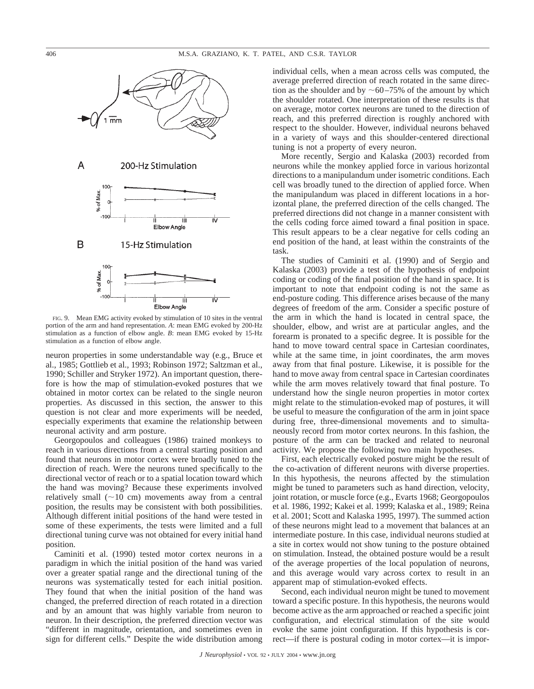

FIG. 9. Mean EMG activity evoked by stimulation of 10 sites in the ventral portion of the arm and hand representation. *A*: mean EMG evoked by 200-Hz stimulation as a function of elbow angle. *B*: mean EMG evoked by 15-Hz stimulation as a function of elbow angle.

neuron properties in some understandable way (e.g., Bruce et al., 1985; Gottlieb et al., 1993; Robinson 1972; Saltzman et al., 1990; Schiller and Stryker 1972). An important question, therefore is how the map of stimulation-evoked postures that we obtained in motor cortex can be related to the single neuron properties. As discussed in this section, the answer to this question is not clear and more experiments will be needed, especially experiments that examine the relationship between neuronal activity and arm posture.

Georgopoulos and colleagues (1986) trained monkeys to reach in various directions from a central starting position and found that neurons in motor cortex were broadly tuned to the direction of reach. Were the neurons tuned specifically to the directional vector of reach or to a spatial location toward which the hand was moving? Because these experiments involved relatively small  $(\sim 10 \text{ cm})$  movements away from a central position, the results may be consistent with both possibilities. Although different initial positions of the hand were tested in some of these experiments, the tests were limited and a full directional tuning curve was not obtained for every initial hand position.

Caminiti et al. (1990) tested motor cortex neurons in a paradigm in which the initial position of the hand was varied over a greater spatial range and the directional tuning of the neurons was systematically tested for each initial position. They found that when the initial position of the hand was changed, the preferred direction of reach rotated in a direction and by an amount that was highly variable from neuron to neuron. In their description, the preferred direction vector was "different in magnitude, orientation, and sometimes even in sign for different cells." Despite the wide distribution among individual cells, when a mean across cells was computed, the average preferred direction of reach rotated in the same direction as the shoulder and by  $\sim 60-75\%$  of the amount by which the shoulder rotated. One interpretation of these results is that on average, motor cortex neurons are tuned to the direction of reach, and this preferred direction is roughly anchored with respect to the shoulder. However, individual neurons behaved in a variety of ways and this shoulder-centered directional tuning is not a property of every neuron.

More recently, Sergio and Kalaska (2003) recorded from neurons while the monkey applied force in various horizontal directions to a manipulandum under isometric conditions. Each cell was broadly tuned to the direction of applied force. When the manipulandum was placed in different locations in a horizontal plane, the preferred direction of the cells changed. The preferred directions did not change in a manner consistent with the cells coding force aimed toward a final position in space. This result appears to be a clear negative for cells coding an end position of the hand, at least within the constraints of the task.

The studies of Caminiti et al. (1990) and of Sergio and Kalaska (2003) provide a test of the hypothesis of endpoint coding or coding of the final position of the hand in space. It is important to note that endpoint coding is not the same as end-posture coding. This difference arises because of the many degrees of freedom of the arm. Consider a specific posture of the arm in which the hand is located in central space, the shoulder, elbow, and wrist are at particular angles, and the forearm is pronated to a specific degree. It is possible for the hand to move toward central space in Cartesian coordinates, while at the same time, in joint coordinates, the arm moves away from that final posture. Likewise, it is possible for the hand to move away from central space in Cartesian coordinates while the arm moves relatively toward that final posture. To understand how the single neuron properties in motor cortex might relate to the stimulation-evoked map of postures, it will be useful to measure the configuration of the arm in joint space during free, three-dimensional movements and to simultaneously record from motor cortex neurons. In this fashion, the posture of the arm can be tracked and related to neuronal activity. We propose the following two main hypotheses.

First, each electrically evoked posture might be the result of the co-activation of different neurons with diverse properties. In this hypothesis, the neurons affected by the stimulation might be tuned to parameters such as hand direction, velocity, joint rotation, or muscle force (e.g., Evarts 1968; Georgopoulos et al. 1986, 1992; Kakei et al. 1999; Kalaska et al., 1989; Reina et al. 2001; Scott and Kalaska 1995, 1997). The summed action of these neurons might lead to a movement that balances at an intermediate posture. In this case, individual neurons studied at a site in cortex would not show tuning to the posture obtained on stimulation. Instead, the obtained posture would be a result of the average properties of the local population of neurons, and this average would vary across cortex to result in an apparent map of stimulation-evoked effects.

Second, each individual neuron might be tuned to movement toward a specific posture. In this hypothesis, the neurons would become active as the arm approached or reached a specific joint configuration, and electrical stimulation of the site would evoke the same joint configuration. If this hypothesis is correct—if there is postural coding in motor cortex—it is impor-